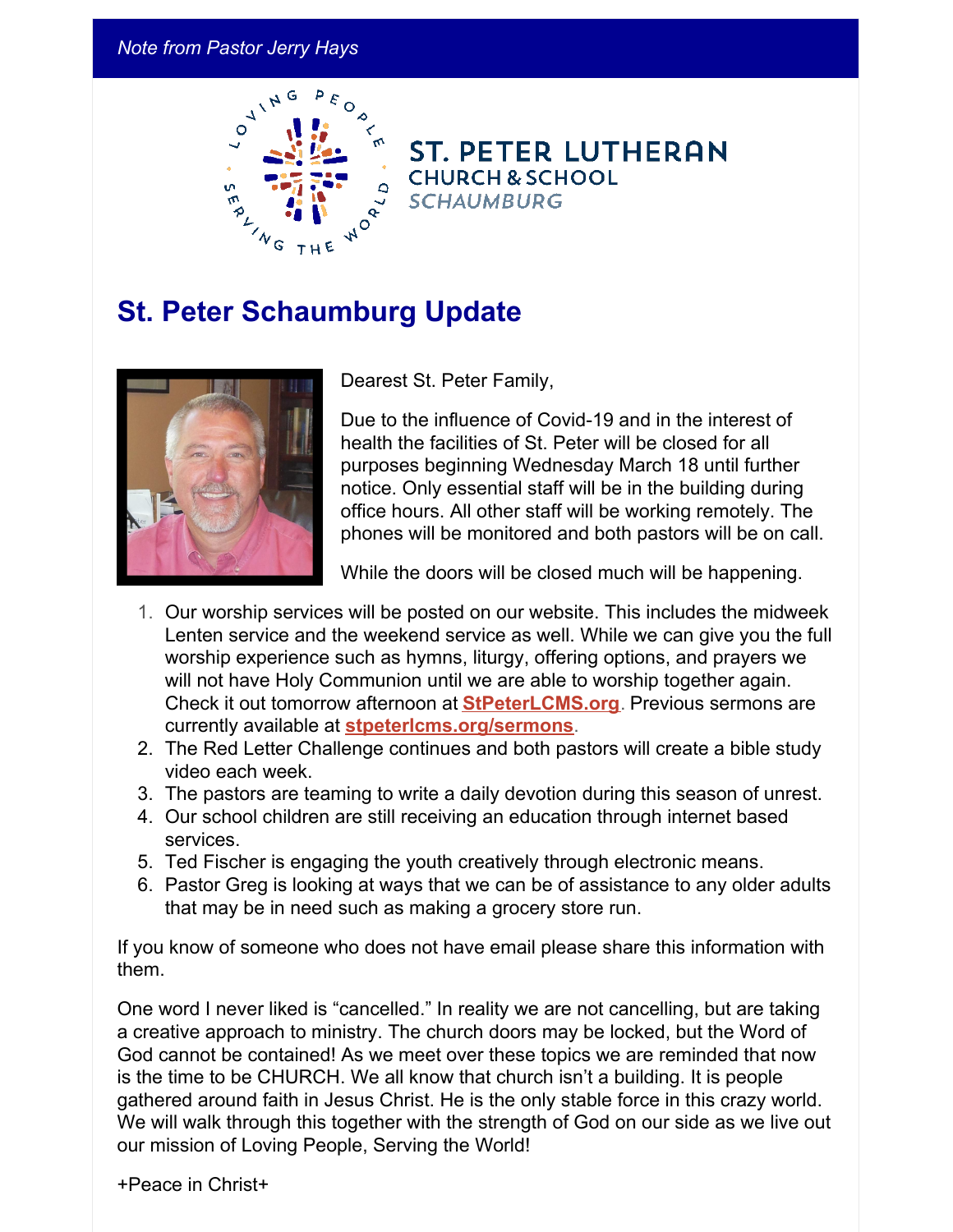## *Note from Pastor Jerry Hays*



**ST. PETER LUTHERAN CHURCH & SCHOOL SCHAUMBURG** 

## **St. Peter Schaumburg Update**



Dearest St. Peter Family,

Due to the influence of Covid-19 and in the interest of health the facilities of St. Peter will be closed for all purposes beginning Wednesday March 18 until further notice. Only essential staff will be in the building during office hours. All other staff will be working remotely. The phones will be monitored and both pastors will be on call.

While the doors will be closed much will be happening.

- 1. Our worship services will be posted on our website. This includes the midweek Lenten service and the weekend service as well. While we can give you the full worship experience such as hymns, liturgy, offering options, and prayers we will not have Holy Communion until we are able to worship together again. Check it out tomorrow afternoon at **[StPeterLCMS.org](http://stpeterlcms.org/)**. Previous sermons are currently available at **[stpeterlcms.org/sermons](http://www.stpeterlcms.org/sermons)**.
- 2. The Red Letter Challenge continues and both pastors will create a bible study video each week.
- 3. The pastors are teaming to write a daily devotion during this season of unrest.
- 4. Our school children are still receiving an education through internet based services.
- 5. Ted Fischer is engaging the youth creatively through electronic means.
- 6. Pastor Greg is looking at ways that we can be of assistance to any older adults that may be in need such as making a grocery store run.

If you know of someone who does not have email please share this information with them.

One word I never liked is "cancelled." In reality we are not cancelling, but are taking a creative approach to ministry. The church doors may be locked, but the Word of God cannot be contained! As we meet over these topics we are reminded that now is the time to be CHURCH. We all know that church isn't a building. It is people gathered around faith in Jesus Christ. He is the only stable force in this crazy world. We will walk through this together with the strength of God on our side as we live out our mission of Loving People, Serving the World!

+Peace in Christ+